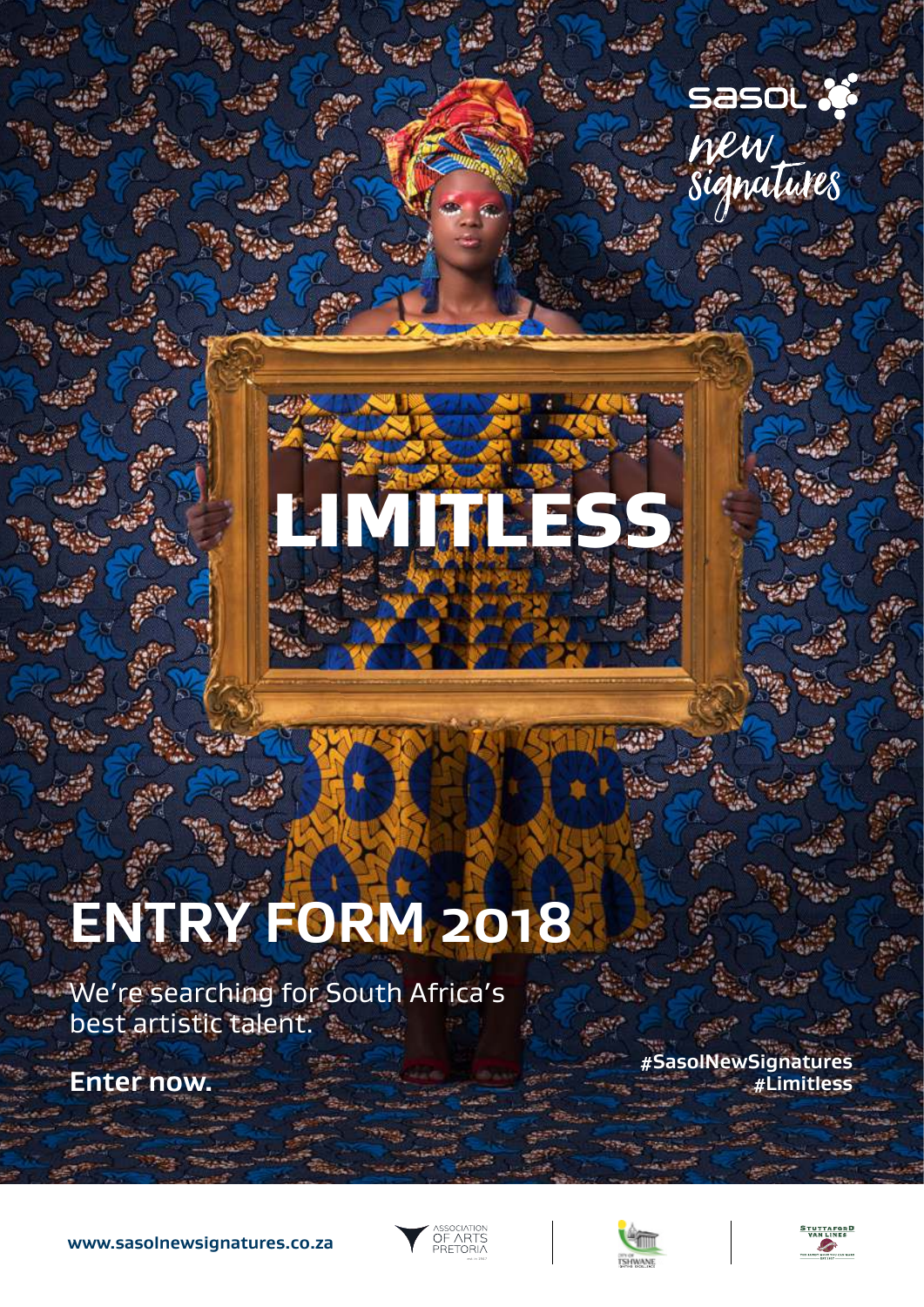# sasol X new<br>signatures



# **ENTRY FORM 2018**

We're searching for South Africa's best artistic talent.

**Enter now.**

**#SasolNewSignatures #Limitless**







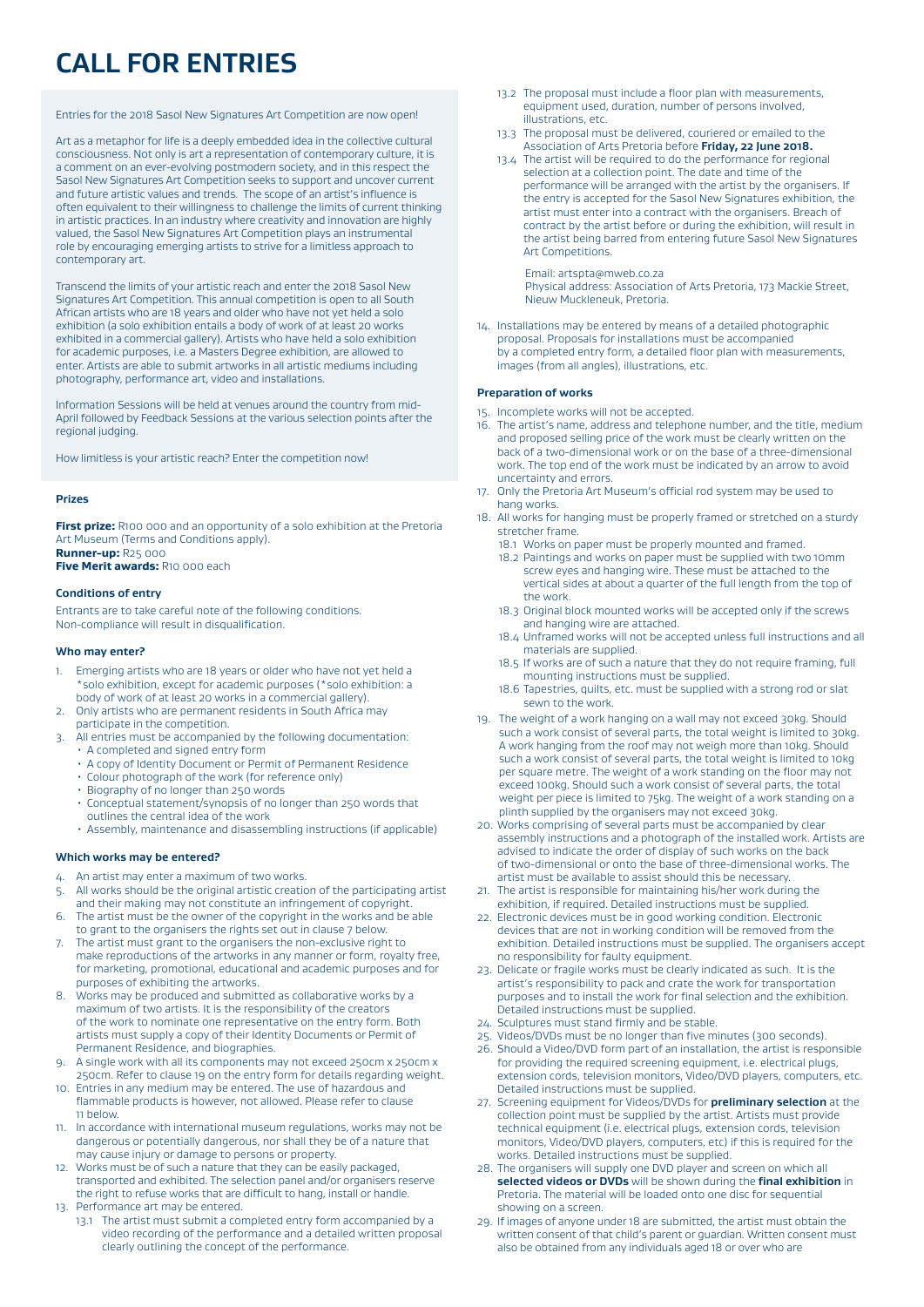# **CALL FOR ENTRIES**

Entries for the 2018 Sasol New Signatures Art Competition are now open!

Art as a metaphor for life is a deeply embedded idea in the collective cultural consciousness. Not only is art a representation of contemporary culture, it is a comment on an ever-evolving postmodern society, and in this respect the Sasol New Signatures Art Competition seeks to support and uncover current and future artistic values and trends. The scope of an artist's influence is often equivalent to their willingness to challenge the limits of current thinking in artistic practices. In an industry where creativity and innovation are highly valued, the Sasol New Signatures Art Competition plays an instrumental role by encouraging emerging artists to strive for a limitless approach to contemporary art.

Transcend the limits of your artistic reach and enter the 2018 Sasol New Signatures Art Competition. This annual competition is open to all South African artists who are 18 years and older who have not yet held a solo exhibition (a solo exhibition entails a body of work of at least 20 works exhibited in a commercial gallery). Artists who have held a solo exhibition for academic purposes, i.e. a Masters Degree exhibition, are allowed to enter. Artists are able to submit artworks in all artistic mediums including photography, performance art, video and installations.

Information Sessions will be held at venues around the country from mid-April followed by Feedback Sessions at the various selection points after the regional judging.

How limitless is your artistic reach? Enter the competition now!

#### **Prizes**

**First prize:** R100 000 and an opportunity of a solo exhibition at the Pretoria Art Museum (Terms and Conditions apply). **Runner-up:** R25 000

**Five Merit awards:** R10 000 each

#### **Conditions of entry**

Entrants are to take careful note of the following conditions. Non-compliance will result in disqualification.

#### **Who may enter?**

- 1. Emerging artists who are 18 years or older who have not yet held a \*solo exhibition, except for academic purposes (\*solo exhibition: a body of work of at least 20 works in a commercial gallery).
- 2. Only artists who are permanent residents in South Africa may participate in the competition.
- 3. All entries must be accompanied by the following documentation: • A completed and signed entry form
	- A copy of Identity Document or Permit of Permanent Residence
	- Colour photograph of the work (for reference only)
	- Biography of no longer than 250 words
	- Conceptual statement/synopsis of no longer than 250 words that outlines the central idea of the work
	- Assembly, maintenance and disassembling instructions (if applicable)

#### **Which works may be entered?**

- 4. An artist may enter a maximum of two works.
- 5. All works should be the original artistic creation of the participating artist and their making may not constitute an infringement of copyright.
- 6. The artist must be the owner of the copyright in the works and be able to grant to the organisers the rights set out in clause 7 below.
- 7. The artist must grant to the organisers the non-exclusive right to make reproductions of the artworks in any manner or form, royalty free, for marketing, promotional, educational and academic purposes and for purposes of exhibiting the artworks.
- 8. Works may be produced and submitted as collaborative works by a maximum of two artists. It is the responsibility of the creators of the work to nominate one representative on the entry form. Both artists must supply a copy of their Identity Documents or Permit of Permanent Residence, and biographies.
- 9. A single work with all its components may not exceed 250cm x 250cm x 250cm. Refer to clause 19 on the entry form for details regarding weight.
- 10. Entries in any medium may be entered. The use of hazardous and flammable products is however, not allowed. Please refer to clause 11 below.
- 11. In accordance with international museum regulations, works may not be dangerous or potentially dangerous, nor shall they be of a nature that may cause injury or damage to persons or property.
- 12. Works must be of such a nature that they can be easily packaged, transported and exhibited. The selection panel and/or organisers reserve the right to refuse works that are difficult to hang, install or handle. 13. Performance art may be entered.
- 
- 13.1 The artist must submit a completed entry form accompanied by a video recording of the performance and a detailed written proposal clearly outlining the concept of the performance.
- 13.2 The proposal must include a floor plan with measurements, equipment used, duration, number of persons involved, illustrations, etc.
- 13.3 The proposal must be delivered, couriered or emailed to the Association of Arts Pretoria before **Friday, 22 June 2018.**
- 13.4 The artist will be required to do the performance for regional selection at a collection point. The date and time of the performance will be arranged with the artist by the organisers. If the entry is accepted for the Sasol New Signatures exhibition, the artist must enter into a contract with the organisers. Breach of contract by the artist before or during the exhibition, will result in the artist being barred from entering future Sasol New Signatures Art Competitions.
	- Email: artspta@mweb.co.za

 Physical address: Association of Arts Pretoria, 173 Mackie Street, Nieuw Muckleneuk, Pretoria.

14. Installations may be entered by means of a detailed photographic proposal. Proposals for installations must be accompanied by a completed entry form, a detailed floor plan with measurements, images (from all angles), illustrations, etc.

#### **Preparation of works**

- 15. Incomplete works will not be accepted.
- 16. The artist's name, address and telephone number, and the title, medium and proposed selling price of the work must be clearly written on the back of a two-dimensional work or on the base of a three-dimensional work. The top end of the work must be indicated by an arrow to avoid uncertainty and errors.
- 17. Only the Pretoria Art Museum's official rod system may be used to hang works.
- 18. All works for hanging must be properly framed or stretched on a sturdy stretcher frame.
	- 18.1 Works on paper must be properly mounted and framed.
	- 18.2 Paintings and works on paper must be supplied with two 10mm screw eyes and hanging wire. These must be attached to the vertical sides at about a quarter of the full length from the top of the work.
	- 18.3 Original block mounted works will be accepted only if the screws and hanging wire are attached.
	- 18.4 Unframed works will not be accepted unless full instructions and all materials are supplied.
	- 18.5 If works are of such a nature that they do not require framing, full mounting instructions must be supplied.
	- 18.6 Tapestries, quilts, etc. must be supplied with a strong rod or slat sewn to the work.
- 19. The weight of a work hanging on a wall may not exceed 30kg. Should such a work consist of several parts, the total weight is limited to 30kg. A work hanging from the roof may not weigh more than 10kg. Should such a work consist of several parts, the total weight is limited to 10kg per square metre. The weight of a work standing on the floor may not exceed 100kg. Should such a work consist of several parts, the total weight per piece is limited to 75kg. The weight of a work standing on a plinth supplied by the organisers may not exceed 30kg.
- 20. Works comprising of several parts must be accompanied by clear assembly instructions and a photograph of the installed work. Artists are advised to indicate the order of display of such works on the back of two-dimensional or onto the base of three-dimensional works. The artist must be available to assist should this be necessary.
- 21. The artist is responsible for maintaining his/her work during the exhibition, if required. Detailed instructions must be supplied.
- 22. Electronic devices must be in good working condition. Electronic devices that are not in working condition will be removed from the exhibition. Detailed instructions must be supplied. The organisers accept no responsibility for faulty equipment.
- 23. Delicate or fragile works must be clearly indicated as such. It is the artist's responsibility to pack and crate the work for transportation purposes and to install the work for final selection and the exhibition. Detailed instructions must be supplied.
- 24. Sculptures must stand firmly and be stable.
- Videos/DVDs must be no longer than five minutes (300 seconds).
- 26. Should a Video/DVD form part of an installation, the artist is responsible for providing the required screening equipment, i.e. electrical plugs, extension cords, television monitors, Video/DVD players, computers, etc. Detailed instructions must be supplied.
- 27. Screening equipment for Videos/DVDs for **preliminary selection** at the collection point must be supplied by the artist. Artists must provide technical equipment (i.e. electrical plugs, extension cords, television monitors, Video/DVD players, computers, etc) if this is required for the works. Detailed instructions must be supplied.
- 28. The organisers will supply one DVD player and screen on which all **selected videos or DVDs** will be shown during the **final exhibition** in Pretoria. The material will be loaded onto one disc for sequential showing on a screen.
- 29. If images of anyone under 18 are submitted, the artist must obtain the written consent of that child's parent or quardian. Written consent must also be obtained from any individuals aged 18 or over who are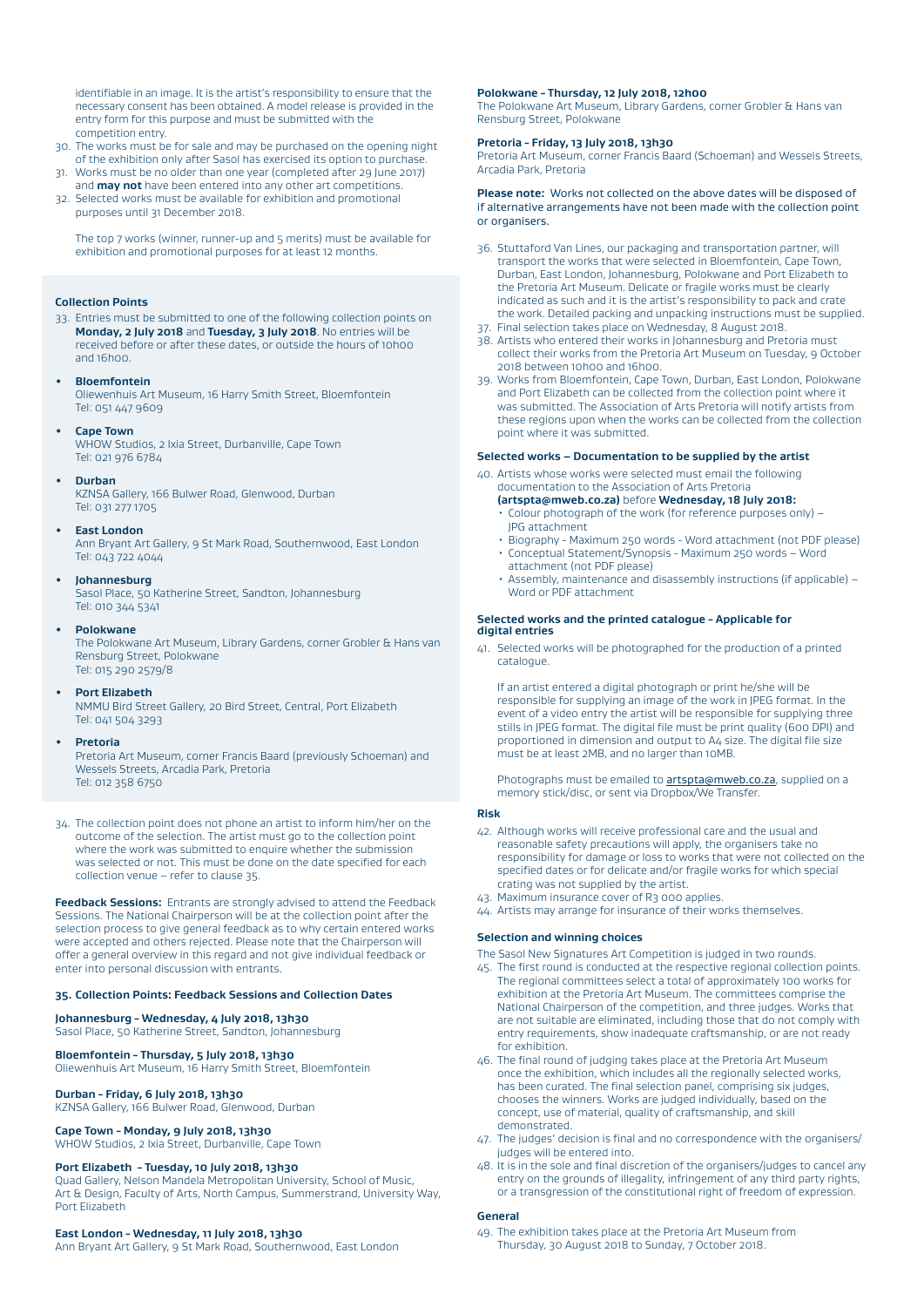identifiable in an image. It is the artist's responsibility to ensure that the necessary consent has been obtained. A model release is provided in the entry form for this purpose and must be submitted with the competition entry.

- 30. The works must be for sale and may be purchased on the opening night of the exhibition only after Sasol has exercised its option to purchase.
- 31. Works must be no older than one year (completed after 29 June 2017) and **may not** have been entered into any other art competitions.
- 32. Selected works must be available for exhibition and promotional purposes until 31 December 2018.

 The top 7 works (winner, runner-up and 5 merits) must be available for exhibition and promotional purposes for at least 12 months.

### **Collection Points**

- 33. Entries must be submitted to one of the following collection points on **Monday, 2 July 2018** and **Tuesday, 3 July 2018**. No entries will be received before or after these dates, or outside the hours of 10h00 and 16h00.
- **Bloemfontein**

 Oliewenhuis Art Museum, 16 Harry Smith Street, Bloemfontein Tel: 051 447 9609

**• Cape Town**

 WHOW Studios, 2 Ixia Street, Durbanville, Cape Town Tel: 021 976 6784

**• Durban**

 KZNSA Gallery, 166 Bulwer Road, Glenwood, Durban Tel: 031 277 1705

#### **• East London**

 Ann Bryant Art Gallery, 9 St Mark Road, Southernwood, East London Tel: 043 722 4044

#### **• Johannesburg**

 Sasol Place, 50 Katherine Street, Sandton, Johannesburg Tel: 010 344 5341

**• Polokwane**

 The Polokwane Art Museum, Library Gardens, corner Grobler & Hans van Rensburg Street, Polokwane Tel: 015 290 2579/8

#### **• Port Elizabeth**

NMMU Bird Street Gallery, 20 Bird Street, Central, Port Elizabeth Tel: 041 504 3293

#### **• Pretoria**

 Pretoria Art Museum, corner Francis Baard (previously Schoeman) and Wessels Streets, Arcadia Park, Pretoria Tel: 012 358 6750

34. The collection point does not phone an artist to inform him/her on the outcome of the selection. The artist must go to the collection point where the work was submitted to enquire whether the submission was selected or not. This must be done on the date specified for each collection venue – refer to clause 35.

**Feedback Sessions:** Entrants are strongly advised to attend the Feedback Sessions. The National Chairperson will be at the collection point after the selection process to give general feedback as to why certain entered works were accepted and others rejected. Please note that the Chairperson will offer a general overview in this regard and not give individual feedback or enter into personal discussion with entrants.

#### **35. Collection Points: Feedback Sessions and Collection Dates**

**Johannesburg - Wednesday, 4 July 2018, 13h30** Sasol Place, 50 Katherine Street, Sandton, Johannesburg

#### **Bloemfontein - Thursday, 5 July 2018, 13h30**

Oliewenhuis Art Museum, 16 Harry Smith Street, Bloemfontein

#### **Durban - Friday, 6 July 2018, 13h30**

KZNSA Gallery, 166 Bulwer Road, Glenwood, Durban

**Cape Town - Monday, 9 July 2018, 13h30** 

WHOW Studios, 2 Ixia Street, Durbanville, Cape Town

### **Port Elizabeth - Tuesday, 10 July 2018, 13h30**

Quad Gallery, Nelson Mandela Metropolitan University, School of Music, Art & Design, Faculty of Arts, North Campus, Summerstrand, University Way, Port Elizabeth

#### **East London - Wednesday, 11 July 2018, 13h30**

Ann Bryant Art Gallery, 9 St Mark Road, Southernwood, East London

#### **Polokwane - Thursday, 12 July 2018, 12h00**

The Polokwane Art Museum, Library Gardens, corner Grobler & Hans van Rensburg Street, Polokwane

#### **Pretoria - Friday, 13 July 2018, 13h30**

Pretoria Art Museum, corner Francis Baard (Schoeman) and Wessels Streets, Arcadia Park, Pretoria

#### **Please note:** Works not collected on the above dates will be disposed of if alternative arrangements have not been made with the collection point or organisers.

- 36. Stuttaford Van Lines, our packaging and transportation partner, will transport the works that were selected in Bloemfontein, Cape Town, Durban, East London, Johannesburg, Polokwane and Port Elizabeth to the Pretoria Art Museum. Delicate or fragile works must be clearly indicated as such and it is the artist's responsibility to pack and crate the work. Detailed packing and unpacking instructions must be supplied.
- 37. Final selection takes place on Wednesday, 8 August 2018.
- 38. Artists who entered their works in Johannesburg and Pretoria must collect their works from the Pretoria Art Museum on Tuesday, 9 October 2018 between 10h00 and 16h00.
- 39. Works from Bloemfontein, Cape Town, Durban, East London, Polokwane and Port Elizabeth can be collected from the collection point where it was submitted. The Association of Arts Pretoria will notify artists from these regions upon when the works can be collected from the collection point where it was submitted.

#### **Selected works – Documentation to be supplied by the artist**

40. Artists whose works were selected must email the following

## documentation to the Association of Arts Pretoria

- **(artspta@mweb.co.za)** before **Wednesday, 18 July 2018:** • Colour photograph of the work (for reference purposes only) – JPG attachment
- Biography Maximum 250 words Word attachment (not PDF please) • Conceptual Statement/Synopsis - Maximum 250 words – Word
- attachment (not PDF please) • Assembly, maintenance and disassembly instructions (if applicable) – Word or PDF attachment

#### **Selected works and the printed catalogue - Applicable for digital entries**

41. Selected works will be photographed for the production of a printed catalogue.

 If an artist entered a digital photograph or print he/she will be responsible for supplying an image of the work in JPEG format. In the event of a video entry the artist will be responsible for supplying three stills in JPEG format. The digital file must be print quality (600 DPI) and proportioned in dimension and output to A4 size. The digital file size must be at least 2MB, and no larger than 10MB.

Photographs must be emailed to **artspta@mweb.co.za**, supplied on a memory stick/disc, or sent via Dropbox/We Transfer.

#### **Risk**

- 42. Although works will receive professional care and the usual and reasonable safety precautions will apply, the organisers take no responsibility for damage or loss to works that were not collected on the specified dates or for delicate and/or fragile works for which special crating was not supplied by the artist.
- 43. Maximum insurance cover of R3 000 applies.
- 44. Artists may arrange for insurance of their works themselves.

#### **Selection and winning choices**

The Sasol New Signatures Art Competition is judged in two rounds.

- 45. The first round is conducted at the respective regional collection points. The regional committees select a total of approximately 100 works for exhibition at the Pretoria Art Museum. The committees comprise the National Chairperson of the competition, and three judges. Works that are not suitable are eliminated, including those that do not comply with entry requirements, show inadequate craftsmanship, or are not ready for exhibition.
- 46. The final round of judging takes place at the Pretoria Art Museum once the exhibition, which includes all the regionally selected works, has been curated. The final selection panel, comprising six judges, chooses the winners. Works are judged individually, based on the concept, use of material, quality of craftsmanship, and skill demonstrated.
- 47. The judges' decision is final and no correspondence with the organisers/ judges will be entered into.
- 48. It is in the sole and final discretion of the organisers/judges to cancel any entry on the grounds of illegality, infringement of any third party rights, or a transgression of the constitutional right of freedom of expression.

## **General**

49. The exhibition takes place at the Pretoria Art Museum from Thursday, 30 August 2018 to Sunday, 7 October 2018.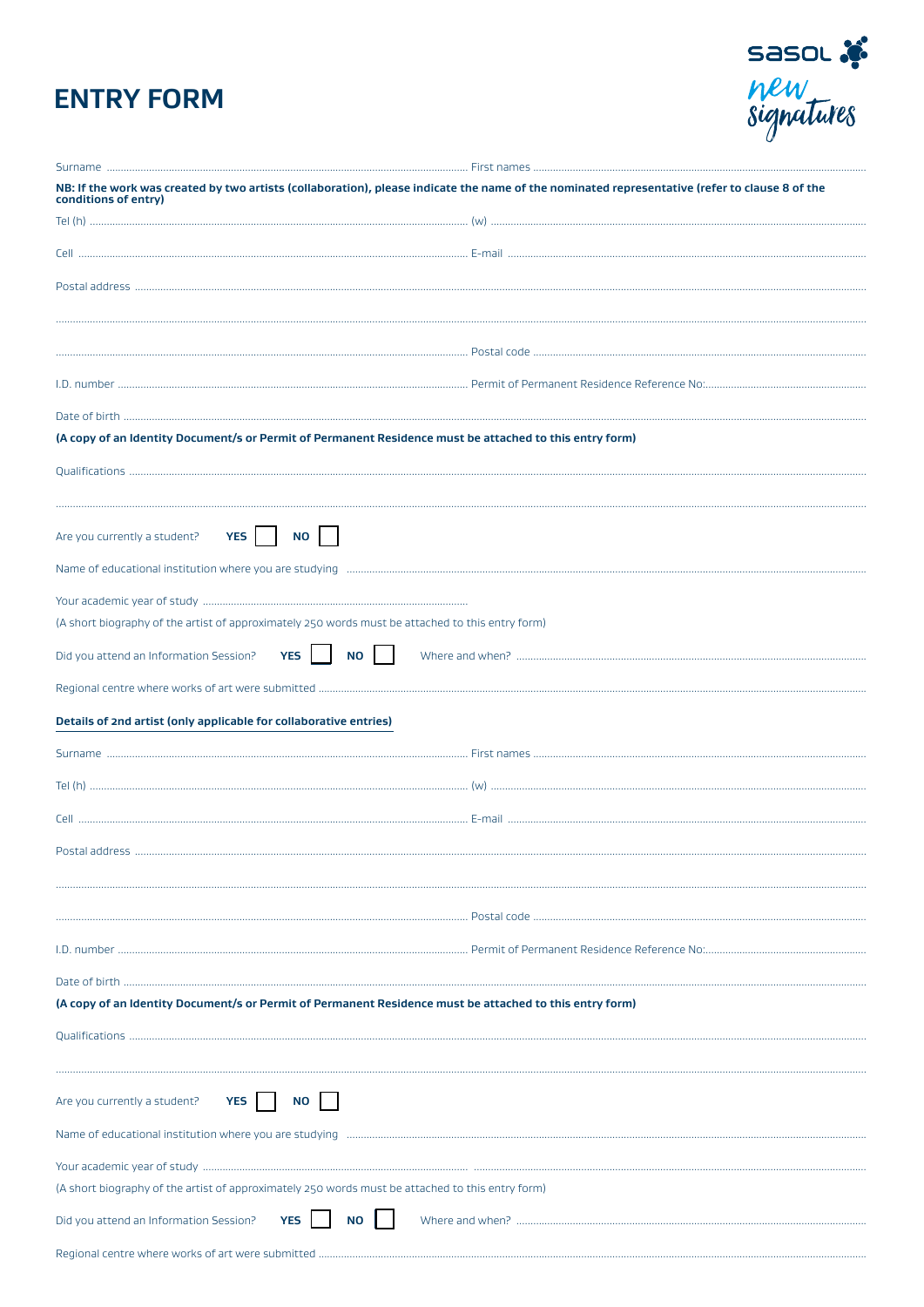# **ENTRY FORM**



| NB: If the work was created by two artists (collaboration), please indicate the name of the nominated representative (refer to clause 8 of the<br>conditions of entry) |  |
|------------------------------------------------------------------------------------------------------------------------------------------------------------------------|--|
|                                                                                                                                                                        |  |
|                                                                                                                                                                        |  |
|                                                                                                                                                                        |  |
|                                                                                                                                                                        |  |
|                                                                                                                                                                        |  |
|                                                                                                                                                                        |  |
|                                                                                                                                                                        |  |
| (A copy of an Identity Document/s or Permit of Permanent Residence must be attached to this entry form)                                                                |  |
|                                                                                                                                                                        |  |
| Are you currently a student? <b>YES</b><br>NO II                                                                                                                       |  |
|                                                                                                                                                                        |  |
| (A short biography of the artist of approximately 250 words must be attached to this entry form)                                                                       |  |
| YES  <br><b>NO</b><br>Did you attend an Information Session?                                                                                                           |  |
|                                                                                                                                                                        |  |
| Details of 2nd artist (only applicable for collaborative entries)                                                                                                      |  |
|                                                                                                                                                                        |  |
|                                                                                                                                                                        |  |
|                                                                                                                                                                        |  |
|                                                                                                                                                                        |  |
| Postal address.                                                                                                                                                        |  |
|                                                                                                                                                                        |  |
|                                                                                                                                                                        |  |
|                                                                                                                                                                        |  |
|                                                                                                                                                                        |  |
| (A copy of an Identity Document/s or Permit of Permanent Residence must be attached to this entry form)                                                                |  |
|                                                                                                                                                                        |  |
|                                                                                                                                                                        |  |
| NO <sub>1</sub><br>Are you currently a student? <b>YES</b>                                                                                                             |  |
|                                                                                                                                                                        |  |
|                                                                                                                                                                        |  |
| (A short biography of the artist of approximately 250 words must be attached to this entry form)                                                                       |  |
| Did you attend an Information Session? YES<br><b>NO</b>                                                                                                                |  |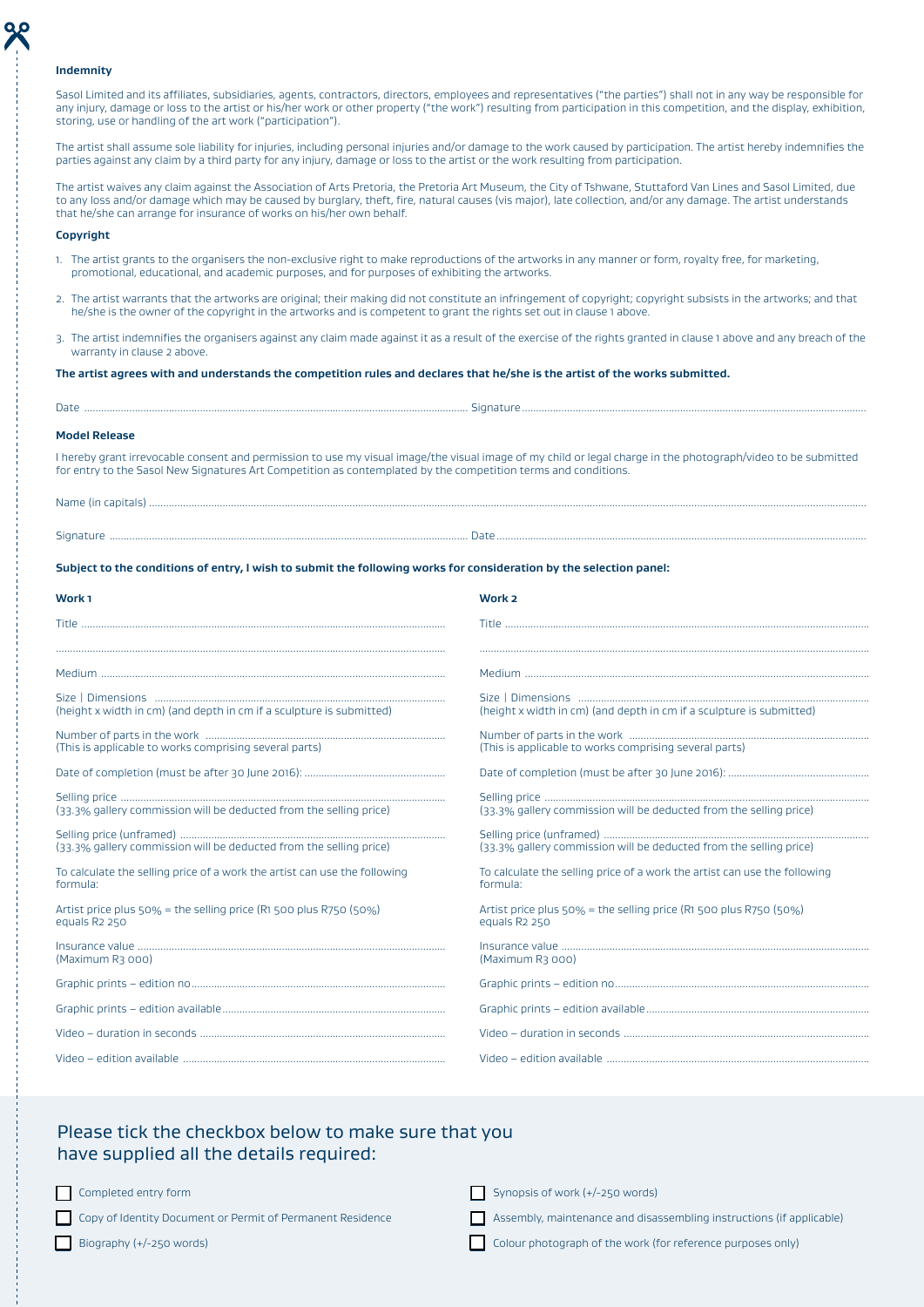#### **Indemnity**

Sasol Limited and its affiliates, subsidiaries, agents, contractors, directors, employees and representatives ("the parties") shall not in any way be responsible for any injury, damage or loss to the artist or his/her work or other property ("the work") resulting from participation in this competition, and the display, exhibition, storing, use or handling of the art work ("participation").

The artist shall assume sole liability for injuries, including personal injuries and/or damage to the work caused by participation. The artist hereby indemnifies the parties against any claim by a third party for any injury, damage or loss to the artist or the work resulting from participation.

The artist waives any claim against the Association of Arts Pretoria, the Pretoria Art Museum, the City of Tshwane, Stuttaford Van Lines and Sasol Limited, due to any loss and/or damage which may be caused by burglary, theft, fire, natural causes (vis major), late collection, and/or any damage. The artist understands that he/she can arrange for insurance of works on his/her own behalf.

#### **Copyright**

- 1. The artist grants to the organisers the non-exclusive right to make reproductions of the artworks in any manner or form, royalty free, for marketing, promotional, educational, and academic purposes, and for purposes of exhibiting the artworks.
- 2. The artist warrants that the artworks are original; their making did not constitute an infringement of copyright; copyright subsists in the artworks; and that he/she is the owner of the copyright in the artworks and is competent to grant the rights set out in clause 1 above.
- 3. The artist indemnifies the organisers against any claim made against it as a result of the exercise of the rights granted in clause 1 above and any breach of the warranty in clause 2 above.

#### **The artist agrees with and understands the competition rules and declares that he/she is the artist of the works submitted.**

| Date                 |  |
|----------------------|--|
| <b>Model Release</b> |  |

I hereby grant irrevocable consent and permission to use my visual image/the visual image of my child or legal charge in the photograph/video to be submitted for entry to the Sasol New Signatures Art Competition as contemplated by the competition terms and conditions.

| . |
|---|

| ۰. |  |  |
|----|--|--|

**Subject to the conditions of entry, I wish to submit the following works for consideration by the selection panel:**

| Work <sub>1</sub>                                                                              | Work <sub>2</sub>                                                                              |
|------------------------------------------------------------------------------------------------|------------------------------------------------------------------------------------------------|
|                                                                                                |                                                                                                |
|                                                                                                |                                                                                                |
|                                                                                                |                                                                                                |
| (height x width in cm) (and depth in cm if a sculpture is submitted)                           | (height x width in cm) (and depth in cm if a sculpture is submitted)                           |
| (This is applicable to works comprising several parts)                                         | (This is applicable to works comprising several parts)                                         |
|                                                                                                |                                                                                                |
| (33.3% gallery commission will be deducted from the selling price)                             | (33.3% gallery commission will be deducted from the selling price)                             |
| (33.3% gallery commission will be deducted from the selling price)                             | (33.3% gallery commission will be deducted from the selling price)                             |
| To calculate the selling price of a work the artist can use the following<br>formula:          | To calculate the selling price of a work the artist can use the following<br>formula:          |
| Artist price plus 50% = the selling price (R1 500 plus R750 (50%)<br>equals R <sub>2</sub> 250 | Artist price plus 50% = the selling price (R1 500 plus R750 (50%)<br>equals R <sub>2</sub> 250 |
| (Maximum R3 000)                                                                               | (Maximum R3 000)                                                                               |
|                                                                                                |                                                                                                |
|                                                                                                |                                                                                                |
|                                                                                                |                                                                                                |
|                                                                                                |                                                                                                |

## Please tick the checkbox below to make sure that you have supplied all the details required:

Completed entry form

Copy of Identity Document or Permit of Permanent Residence

Synopsis of work (+/-250 words)

Assembly, maintenance and disassembling instructions (if applicable)

 $\Box$  Biography (+/-250 words)

Colour photograph of the work (for reference purposes only)